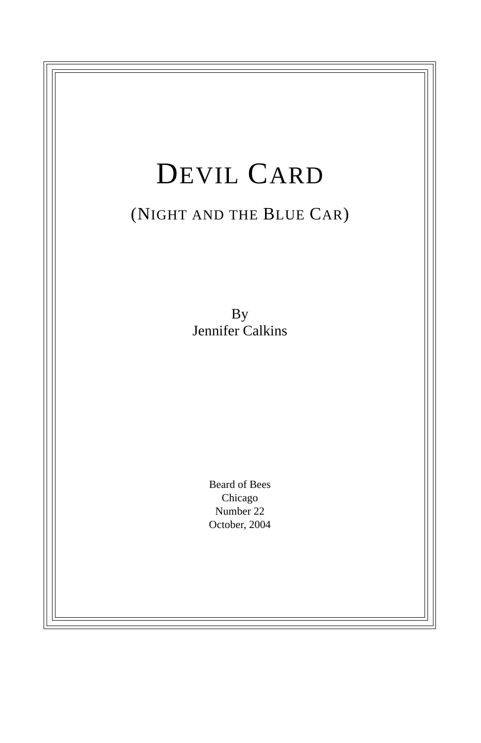# DEVIL CARD (NIGHT AND THE BLUE CAR) By Jennifer Calkins Beard of Bees Chicago Number 22 October, 2004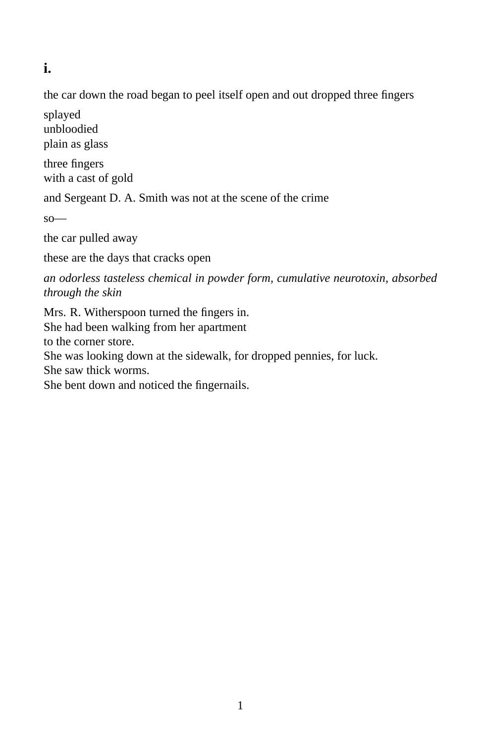**i.**

the car down the road began to peel itself open and out dropped three fingers

splayed unbloodied plain as glass

three fingers with a cast of gold

and Sergeant D. A. Smith was not at the scene of the crime

so—

the car pulled away

these are the days that cracks open

*an odorless tasteless chemical in powder form, cumulative neurotoxin, absorbed through the skin*

Mrs. R. Witherspoon turned the fingers in.

She had been walking from her apartment

to the corner store.

She was looking down at the sidewalk, for dropped pennies, for luck.

She saw thick worms.

She bent down and noticed the fingernails.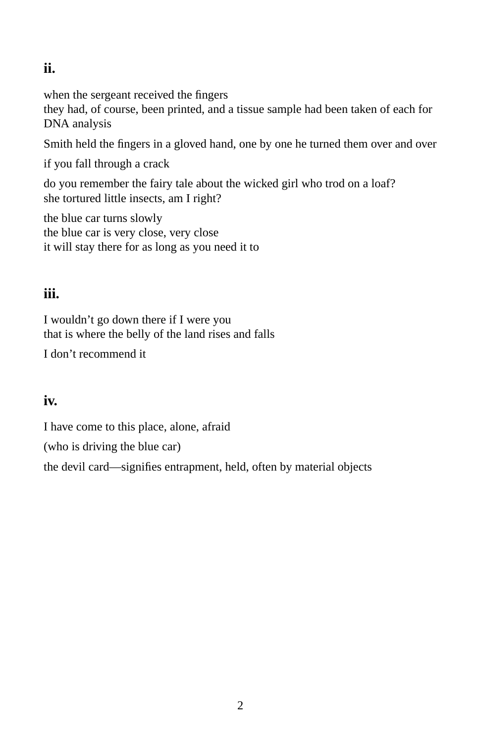# **ii.**

when the sergeant received the fingers

they had, of course, been printed, and a tissue sample had been taken of each for DNA analysis

Smith held the fingers in a gloved hand, one by one he turned them over and over

if you fall through a crack

do you remember the fairy tale about the wicked girl who trod on a loaf? she tortured little insects, am I right?

the blue car turns slowly the blue car is very close, very close it will stay there for as long as you need it to

# **iii.**

I wouldn't go down there if I were you that is where the belly of the land rises and falls

I don't recommend it

# **iv.**

I have come to this place, alone, afraid

(who is driving the blue car)

the devil card—signifies entrapment, held, often by material objects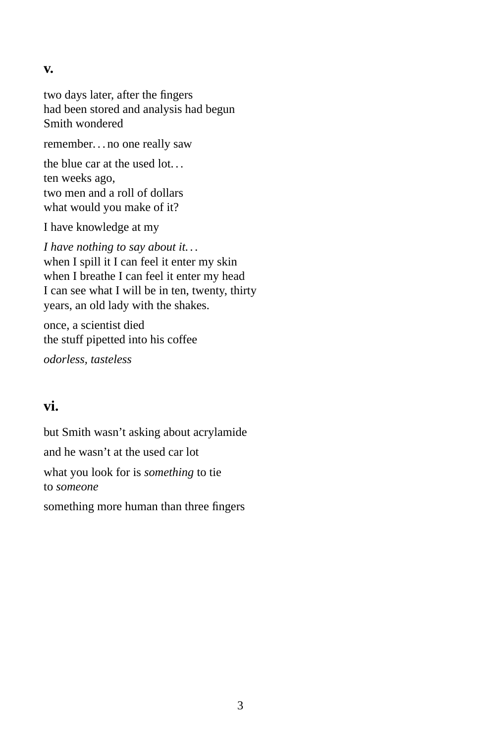#### **v.**

two days later, after the fingers had been stored and analysis had begun Smith wondered

remember. . . no one really saw

the blue car at the used lot. . . ten weeks ago, two men and a roll of dollars what would you make of it?

I have knowledge at my

*I have nothing to say about it. . .* when I spill it I can feel it enter my skin when I breathe I can feel it enter my head I can see what I will be in ten, twenty, thirty years, an old lady with the shakes.

once, a scientist died the stuff pipetted into his coffee

*odorless, tasteless*

# **vi.**

but Smith wasn't asking about acrylamide and he wasn't at the used car lot what you look for is *something* to tie to *someone* something more human than three fingers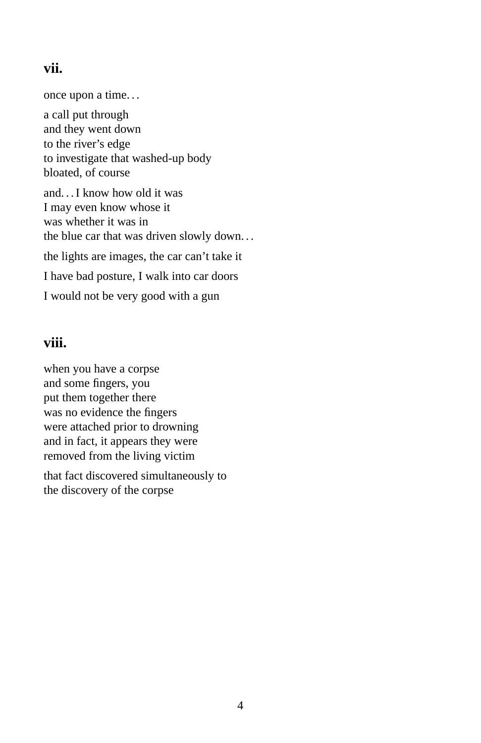### **vii.**

once upon a time. . .

a call put through and they went down to the river's edge to investigate that washed-up body bloated, of course and. . . I know how old it was I may even know whose it was whether it was in the blue car that was driven slowly down. . . the lights are images, the car can't take it I have bad posture, I walk into car doors I would not be very good with a gun

#### **viii.**

when you have a corpse and some fingers, you put them together there was no evidence the fingers were attached prior to drowning and in fact, it appears they were removed from the living victim

that fact discovered simultaneously to the discovery of the corpse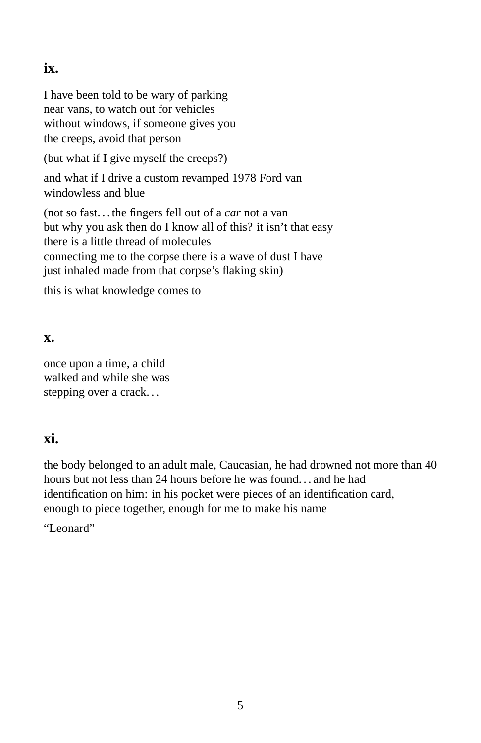# **ix.**

I have been told to be wary of parking near vans, to watch out for vehicles without windows, if someone gives you the creeps, avoid that person

(but what if I give myself the creeps?)

and what if I drive a custom revamped 1978 Ford van windowless and blue

(not so fast. . . the fingers fell out of a *car* not a van but why you ask then do I know all of this? it isn't that easy there is a little thread of molecules connecting me to the corpse there is a wave of dust I have just inhaled made from that corpse's flaking skin)

this is what knowledge comes to

#### **x.**

once upon a time, a child walked and while she was stepping over a crack. . .

## **xi.**

the body belonged to an adult male, Caucasian, he had drowned not more than 40 hours but not less than 24 hours before he was found... and he had identification on him: in his pocket were pieces of an identification card, enough to piece together, enough for me to make his name

"Leonard"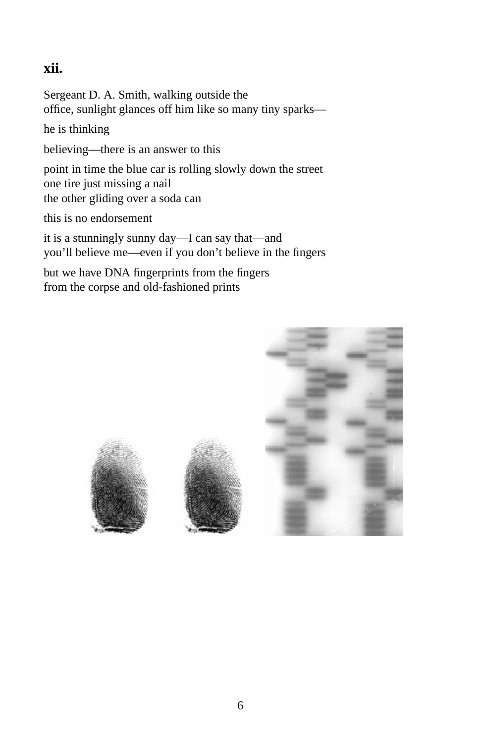# **xii.**

Sergeant D. A. Smith, walking outside the office, sunlight glances off him like so many tiny sparks—

he is thinking

believing—there is an answer to this

point in time the blue car is rolling slowly down the street one tire just missing a nail the other gliding over a soda can

this is no endorsement

it is a stunningly sunny day—I can say that—and you'll believe me—even if you don't believe in the fingers

but we have DNA fingerprints from the fingers from the corpse and old-fashioned prints

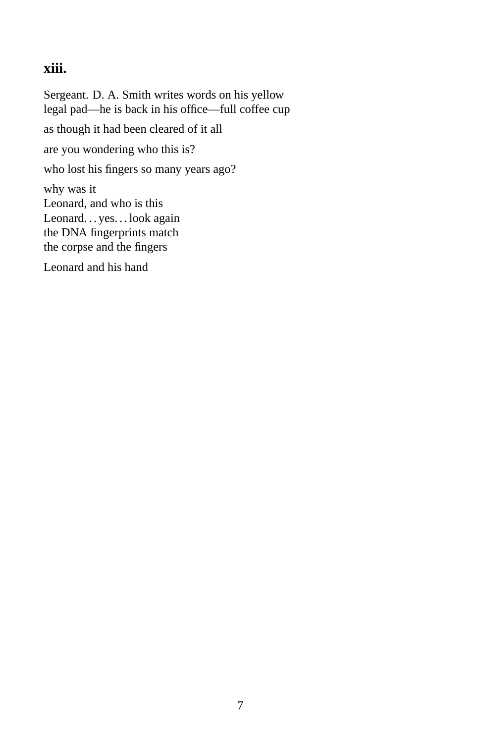# **xiii.**

Sergeant. D. A. Smith writes words on his yellow legal pad—he is back in his office—full coffee cup as though it had been cleared of it all are you wondering who this is? who lost his fingers so many years ago? why was it Leonard, and who is this Leonard. . . yes. . . look again the DNA fingerprints match the corpse and the fingers Leonard and his hand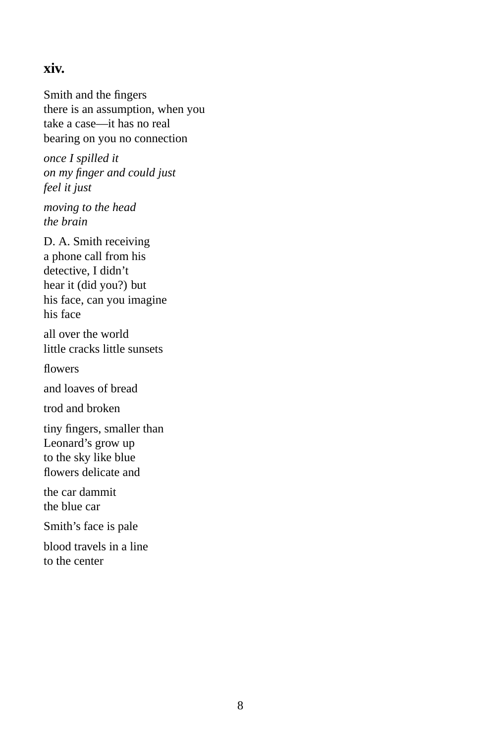### **xiv.**

Smith and the fingers there is an assumption, when you take a case—it has no real bearing on you no connection

*once I spilled it on my finger and could just feel it just*

*moving to the head the brain*

D. A. Smith receiving a phone call from his detective, I didn't hear it (did you?) but his face, can you imagine his face

all over the world little cracks little sunsets

flowers

and loaves of bread

trod and broken

tiny fingers, smaller than Leonard's grow up to the sky like blue flowers delicate and

the car dammit the blue car

Smith's face is pale

blood travels in a line to the center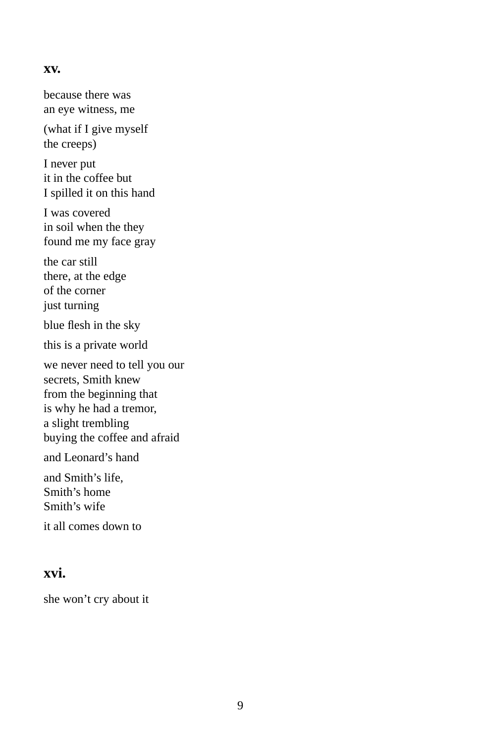#### **xv.**

because there was an eye witness, me

(what if I give myself the creeps)

I never put it in the coffee but I spilled it on this hand

I was covered in soil when the they found me my face gray

the car still there, at the edge of the corner just turning

blue flesh in the sky

this is a private world

we never need to tell you our secrets, Smith knew from the beginning that is why he had a tremor, a slight trembling buying the coffee and afraid

and Leonard's hand

and Smith's life, Smith's home Smith's wife

it all comes down to

## **xvi.**

she won't cry about it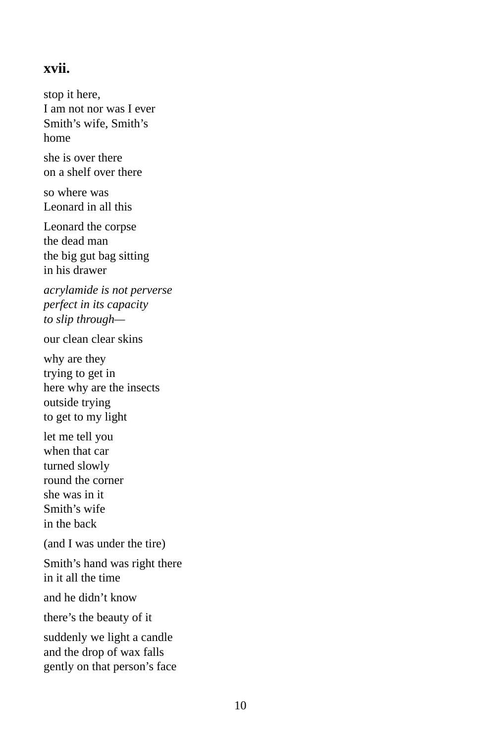## **xvii.**

stop it here, I am not nor was I ever Smith's wife, Smith's home

she is over there on a shelf over there

so where was Leonard in all this

Leonard the corpse the dead man the big gut bag sitting in his drawer

*acrylamide is not perverse perfect in its capacity to slip through—*

our clean clear skins

why are they trying to get in here why are the insects outside trying to get to my light

let me tell you when that car turned slowly round the corner she was in it Smith's wife in the back

(and I was under the tire)

Smith's hand was right there in it all the time

and he didn't know

there's the beauty of it

suddenly we light a candle and the drop of wax falls gently on that person's face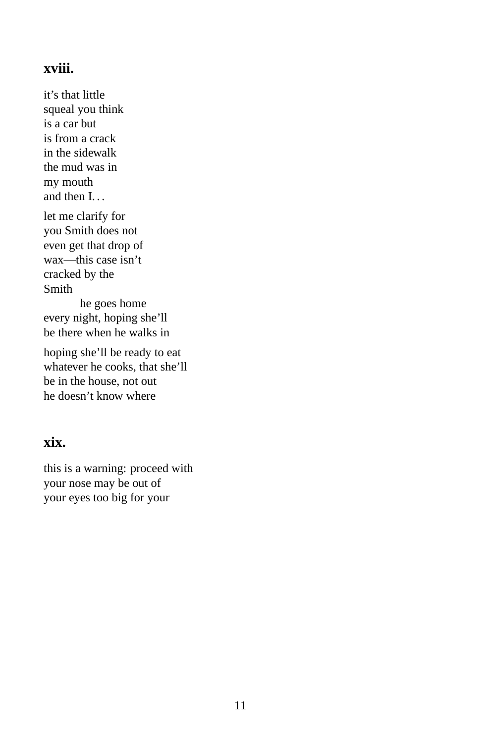## **xviii.**

it's that little squeal you think is a car but is from a crack in the sidewalk the mud was in my mouth and then I. . . let me clarify for you Smith does not even get that drop of wax—this case isn't cracked by the Smith he goes home

every night, hoping she'll be there when he walks in

hoping she'll be ready to eat whatever he cooks, that she'll be in the house, not out he doesn't know where

#### **xix.**

this is a warning: proceed with your nose may be out of your eyes too big for your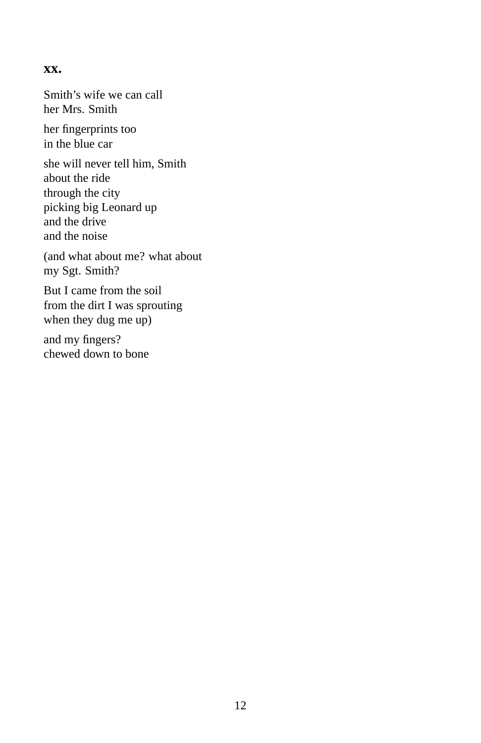#### **xx.**

Smith's wife we can call her Mrs. Smith

her fingerprints too in the blue car

she will never tell him, Smith about the ride through the city picking big Leonard up and the drive and the noise

(and what about me? what about my Sgt. Smith?

But I came from the soil from the dirt I was sprouting when they dug me up)

and my fingers? chewed down to bone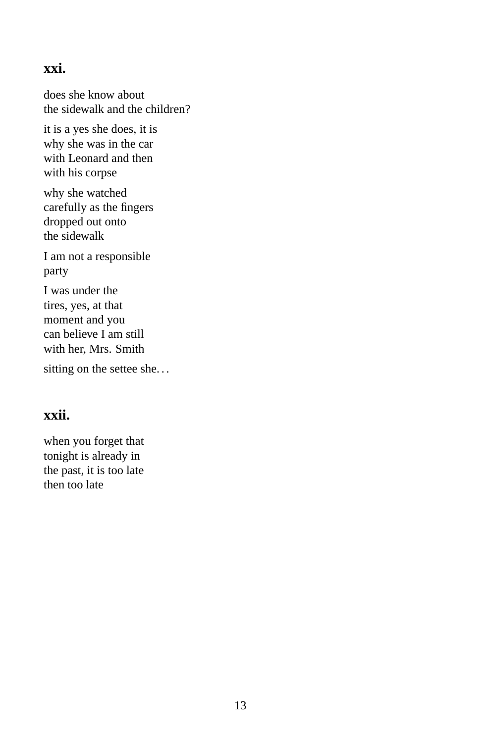#### **xxi.**

does she know about the sidewalk and the children? it is a yes she does, it is why she was in the car with Leonard and then with his corpse why she watched carefully as the fingers dropped out onto the sidewalk I am not a responsible party I was under the tires, yes, at that moment and you can believe I am still with her, Mrs. Smith sitting on the settee she...

## **xxii.**

when you forget that tonight is already in the past, it is too late then too late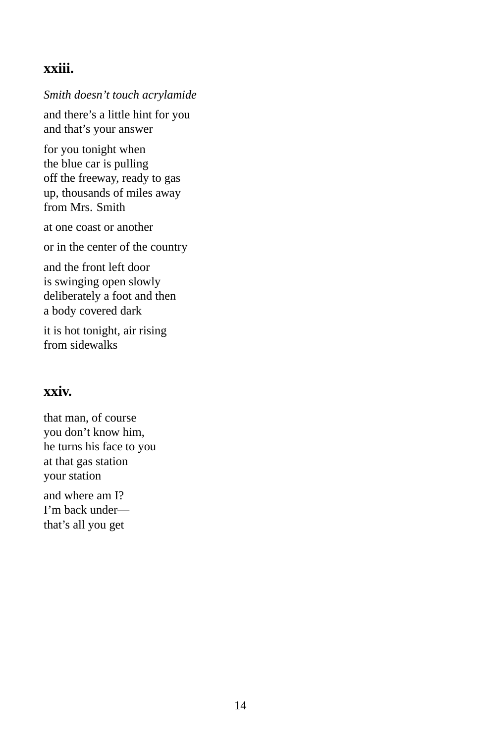#### **xxiii.**

#### *Smith doesn't touch acrylamide*

and there's a little hint for you and that's your answer

for you tonight when the blue car is pulling off the freeway, ready to gas up, thousands of miles away from Mrs. Smith

at one coast or another

or in the center of the country

and the front left door is swinging open slowly deliberately a foot and then a body covered dark

it is hot tonight, air rising from sidewalks

#### **xxiv.**

that man, of course you don't know him, he turns his face to you at that gas station your station

and where am I? I'm back under that's all you get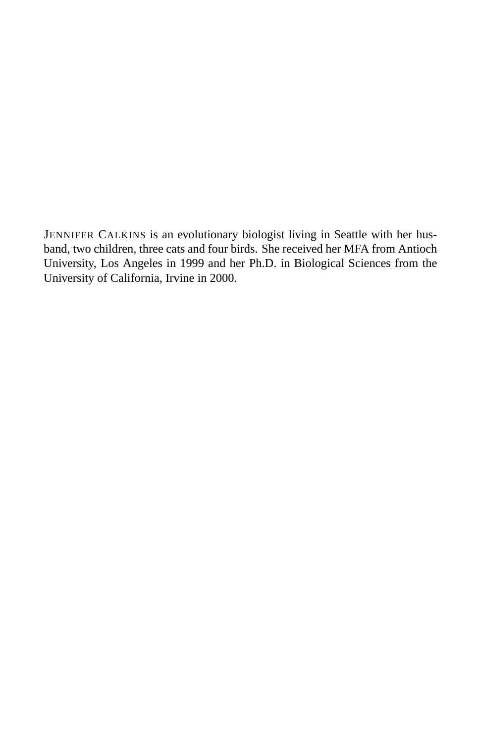JENNIFER CALKINS is an evolutionary biologist living in Seattle with her husband, two children, three cats and four birds. She received her MFA from Antioch University, Los Angeles in 1999 and her Ph.D. in Biological Sciences from the University of California, Irvine in 2000.